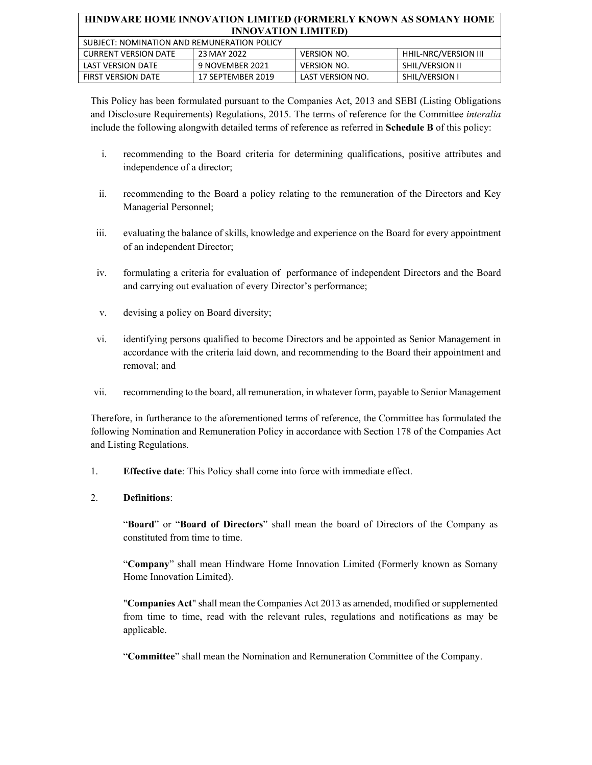| SUBJECT: NOMINATION AND REMUNERATION POLICY |                   |                    |                       |  |
|---------------------------------------------|-------------------|--------------------|-----------------------|--|
| <b>CURRENT VERSION DATE</b>                 | 23 MAY 2022       | <b>VERSION NO.</b> | HHIL-NRC/VERSION III  |  |
| LAST VERSION DATE                           | 9 NOVEMBER 2021   | <b>VERSION NO.</b> | SHIL/VERSION II       |  |
| <b>FIRST VERSION DATE</b>                   | 17 SEPTEMBER 2019 | LAST VERSION NO.   | <b>SHIL/VERSION I</b> |  |

This Policy has been formulated pursuant to the Companies Act, 2013 and SEBI (Listing Obligations and Disclosure Requirements) Regulations, 2015. The terms of reference for the Committee *interalia* include the following alongwith detailed terms of reference as referred in **Schedule B** of this policy:

- i. recommending to the Board criteria for determining qualifications, positive attributes and independence of a director;
- ii. recommending to the Board a policy relating to the remuneration of the Directors and Key Managerial Personnel;
- iii. evaluating the balance of skills, knowledge and experience on the Board for every appointment of an independent Director;
- iv. formulating a criteria for evaluation of performance of independent Directors and the Board and carrying out evaluation of every Director's performance;
- v. devising a policy on Board diversity;
- vi. identifying persons qualified to become Directors and be appointed as Senior Management in accordance with the criteria laid down, and recommending to the Board their appointment and removal; and
- vii. recommending to the board, all remuneration, in whatever form, payable to Senior Management

Therefore, in furtherance to the aforementioned terms of reference, the Committee has formulated the following Nomination and Remuneration Policy in accordance with Section 178 of the Companies Act and Listing Regulations.

1. **Effective date**: This Policy shall come into force with immediate effect.

## 2. **Definitions**:

"**Board**" or "**Board of Directors**" shall mean the board of Directors of the Company as constituted from time to time.

"**Company**" shall mean Hindware Home Innovation Limited (Formerly known as Somany Home Innovation Limited).

"**Companies Act**" shall mean the Companies Act 2013 as amended, modified or supplemented from time to time, read with the relevant rules, regulations and notifications as may be applicable.

"**Committee**" shall mean the Nomination and Remuneration Committee of the Company.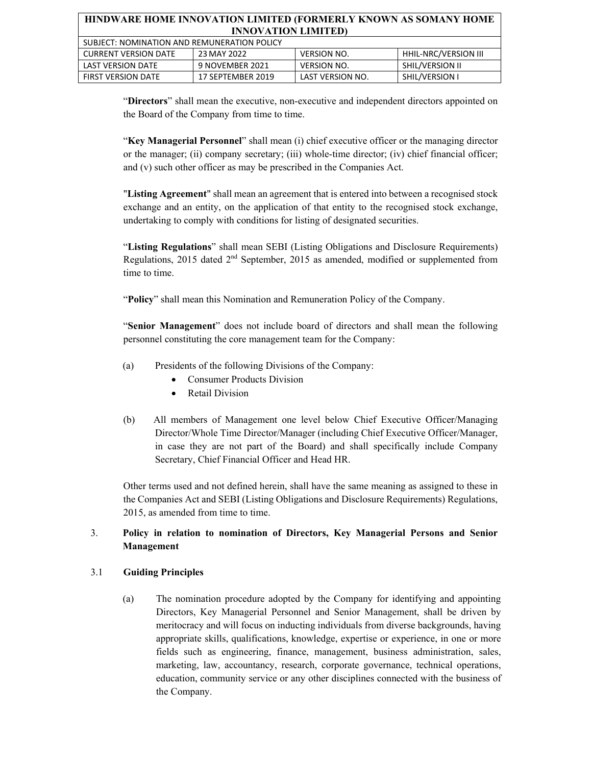| HINDWARE HOME INNOVATION LIMITED (FORMERLY KNOWN AS SOMANY HOME<br><b>INNOVATION LIMITED)</b> |                   |                    |                        |
|-----------------------------------------------------------------------------------------------|-------------------|--------------------|------------------------|
| SUBJECT: NOMINATION AND REMUNERATION POLICY                                                   |                   |                    |                        |
| <b>CURRENT VERSION DATE</b>                                                                   | 23 MAY 2022       | <b>VERSION NO.</b> | HHIL-NRC/VERSION III   |
| <b>LAST VERSION DATE</b>                                                                      | 9 NOVEMBER 2021   | <b>VERSION NO.</b> | <b>SHIL/VERSION II</b> |
| <b>FIRST VERSION DATE</b>                                                                     | 17 SEPTEMBER 2019 | LAST VERSION NO.   | <b>SHIL/VERSION I</b>  |

"**Directors**" shall mean the executive, non-executive and independent directors appointed on the Board of the Company from time to time.

"**Key Managerial Personnel**" shall mean (i) chief executive officer or the managing director or the manager; (ii) company secretary; (iii) whole-time director; (iv) chief financial officer; and (v) such other officer as may be prescribed in the Companies Act.

"**Listing Agreement**" shall mean an agreement that is entered into between a recognised stock exchange and an entity, on the application of that entity to the recognised stock exchange, undertaking to comply with conditions for listing of designated securities.

"**Listing Regulations**" shall mean SEBI (Listing Obligations and Disclosure Requirements) Regulations, 2015 dated 2nd September, 2015 as amended, modified or supplemented from time to time.

"**Policy**" shall mean this Nomination and Remuneration Policy of the Company.

"**Senior Management**" does not include board of directors and shall mean the following personnel constituting the core management team for the Company:

- (a) Presidents of the following Divisions of the Company:
	- Consumer Products Division
	- Retail Division
- (b) All members of Management one level below Chief Executive Officer/Managing Director/Whole Time Director/Manager (including Chief Executive Officer/Manager, in case they are not part of the Board) and shall specifically include Company Secretary, Chief Financial Officer and Head HR.

Other terms used and not defined herein, shall have the same meaning as assigned to these in the Companies Act and SEBI (Listing Obligations and Disclosure Requirements) Regulations, 2015, as amended from time to time.

## 3. **Policy in relation to nomination of Directors, Key Managerial Persons and Senior Management**

## 3.1 **Guiding Principles**

(a) The nomination procedure adopted by the Company for identifying and appointing Directors, Key Managerial Personnel and Senior Management, shall be driven by meritocracy and will focus on inducting individuals from diverse backgrounds, having appropriate skills, qualifications, knowledge, expertise or experience, in one or more fields such as engineering, finance, management, business administration, sales, marketing, law, accountancy, research, corporate governance, technical operations, education, community service or any other disciplines connected with the business of the Company.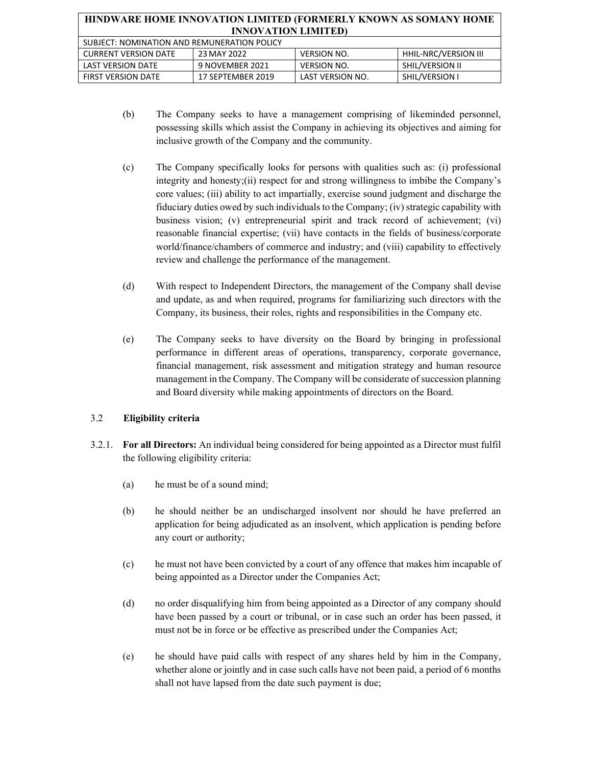| HINDWARE HOME INNOVATION LIMITED (FORMERLY KNOWN AS SOMANY HOME<br><b>INNOVATION LIMITED)</b> |                   |                    |                             |
|-----------------------------------------------------------------------------------------------|-------------------|--------------------|-----------------------------|
| SUBJECT: NOMINATION AND REMUNERATION POLICY                                                   |                   |                    |                             |
| <b>CURRENT VERSION DATE</b>                                                                   | 23 MAY 2022       | <b>VERSION NO.</b> | <b>HHIL-NRC/VERSION III</b> |
| <b>LAST VERSION DATE</b>                                                                      | 9 NOVEMBER 2021   | <b>VERSION NO.</b> | SHIL/VERSION II             |
| <b>FIRST VERSION DATE</b>                                                                     | 17 SEPTEMBER 2019 | LAST VERSION NO.   | SHIL/VERSION I              |

- (b) The Company seeks to have a management comprising of likeminded personnel, possessing skills which assist the Company in achieving its objectives and aiming for inclusive growth of the Company and the community.
- (c) The Company specifically looks for persons with qualities such as: (i) professional integrity and honesty;(ii) respect for and strong willingness to imbibe the Company's core values; (iii) ability to act impartially, exercise sound judgment and discharge the fiduciary duties owed by such individuals to the Company; (iv) strategic capability with business vision; (v) entrepreneurial spirit and track record of achievement; (vi) reasonable financial expertise; (vii) have contacts in the fields of business/corporate world/finance/chambers of commerce and industry; and (viii) capability to effectively review and challenge the performance of the management.
- (d) With respect to Independent Directors, the management of the Company shall devise and update, as and when required, programs for familiarizing such directors with the Company, its business, their roles, rights and responsibilities in the Company etc.
- (e) The Company seeks to have diversity on the Board by bringing in professional performance in different areas of operations, transparency, corporate governance, financial management, risk assessment and mitigation strategy and human resource management in the Company. The Company will be considerate of succession planning and Board diversity while making appointments of directors on the Board.

## 3.2 **Eligibility criteria**

- 3.2.1. **For all Directors:** An individual being considered for being appointed as a Director must fulfil the following eligibility criteria:
	- (a) he must be of a sound mind;
	- (b) he should neither be an undischarged insolvent nor should he have preferred an application for being adjudicated as an insolvent, which application is pending before any court or authority;
	- (c) he must not have been convicted by a court of any offence that makes him incapable of being appointed as a Director under the Companies Act;
	- (d) no order disqualifying him from being appointed as a Director of any company should have been passed by a court or tribunal, or in case such an order has been passed, it must not be in force or be effective as prescribed under the Companies Act;
	- (e) he should have paid calls with respect of any shares held by him in the Company, whether alone or jointly and in case such calls have not been paid, a period of 6 months shall not have lapsed from the date such payment is due;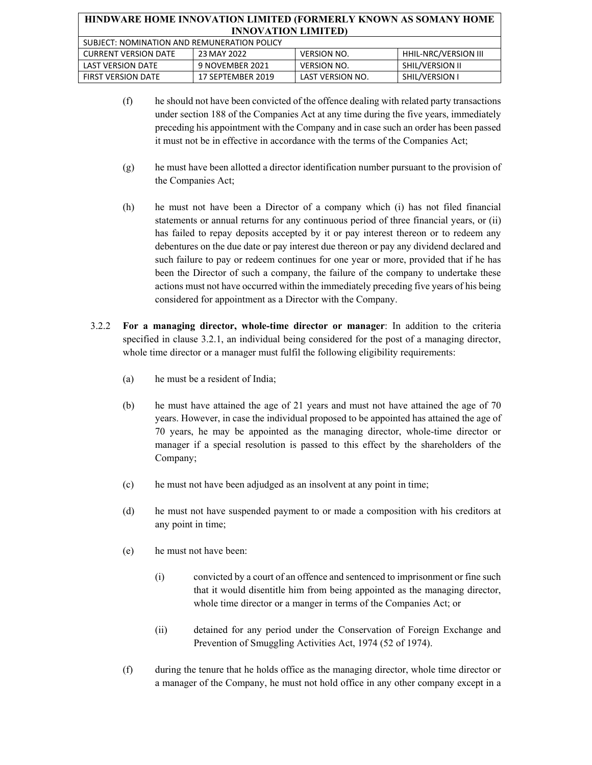| HINDWARE HOME INNOVATION LIMITED (FORMERLY KNOWN AS SOMANY HOME<br><b>INNOVATION LIMITED)</b> |                   |                    |                        |
|-----------------------------------------------------------------------------------------------|-------------------|--------------------|------------------------|
| SUBJECT: NOMINATION AND REMUNERATION POLICY                                                   |                   |                    |                        |
| <b>CURRENT VERSION DATE</b>                                                                   | 23 MAY 2022       | <b>VERSION NO.</b> | HHIL-NRC/VERSION III   |
| <b>LAST VERSION DATE</b>                                                                      | 9 NOVEMBER 2021   | <b>VERSION NO.</b> | <b>SHIL/VERSION II</b> |
| <b>FIRST VERSION DATE</b>                                                                     | 17 SEPTEMBER 2019 | LAST VERSION NO.   | SHIL/VERSION I         |

- (f) he should not have been convicted of the offence dealing with related party transactions under section 188 of the Companies Act at any time during the five years, immediately preceding his appointment with the Company and in case such an order has been passed it must not be in effective in accordance with the terms of the Companies Act;
- (g) he must have been allotted a director identification number pursuant to the provision of the Companies Act;
- (h) he must not have been a Director of a company which (i) has not filed financial statements or annual returns for any continuous period of three financial years, or (ii) has failed to repay deposits accepted by it or pay interest thereon or to redeem any debentures on the due date or pay interest due thereon or pay any dividend declared and such failure to pay or redeem continues for one year or more, provided that if he has been the Director of such a company, the failure of the company to undertake these actions must not have occurred within the immediately preceding five years of his being considered for appointment as a Director with the Company.
- 3.2.2 **For a managing director, whole-time director or manager**: In addition to the criteria specified in clause 3.2.1, an individual being considered for the post of a managing director, whole time director or a manager must fulfil the following eligibility requirements:
	- (a) he must be a resident of India;
	- (b) he must have attained the age of 21 years and must not have attained the age of 70 years. However, in case the individual proposed to be appointed has attained the age of 70 years, he may be appointed as the managing director, whole-time director or manager if a special resolution is passed to this effect by the shareholders of the Company;
	- (c) he must not have been adjudged as an insolvent at any point in time;
	- (d) he must not have suspended payment to or made a composition with his creditors at any point in time;
	- (e) he must not have been:
		- (i) convicted by a court of an offence and sentenced to imprisonment or fine such that it would disentitle him from being appointed as the managing director, whole time director or a manger in terms of the Companies Act; or
		- (ii) detained for any period under the Conservation of Foreign Exchange and Prevention of Smuggling Activities Act, 1974 (52 of 1974).
	- (f) during the tenure that he holds office as the managing director, whole time director or a manager of the Company, he must not hold office in any other company except in a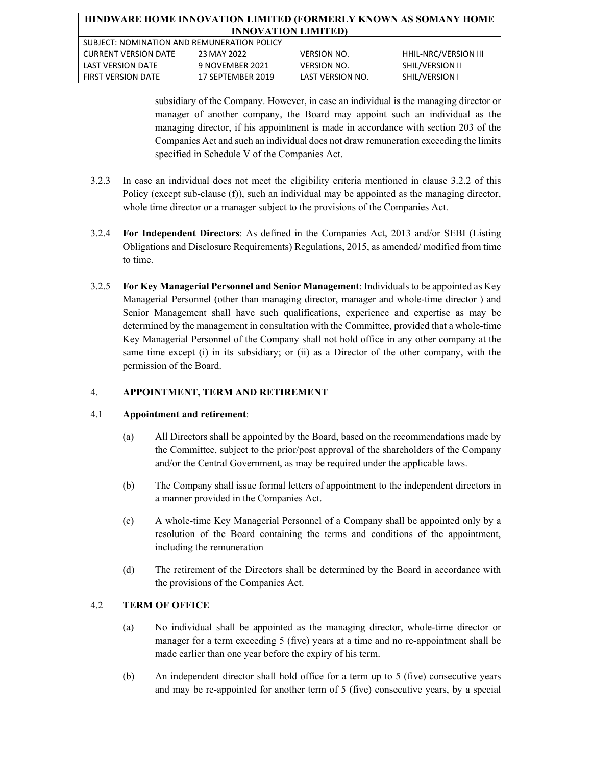| HINDWARE HOME INNOVATION LIMITED (FORMERLY KNOWN AS SOMANY HOME |                   |                    |                             |
|-----------------------------------------------------------------|-------------------|--------------------|-----------------------------|
| <b>INNOVATION LIMITED)</b>                                      |                   |                    |                             |
| SUBJECT: NOMINATION AND REMUNERATION POLICY                     |                   |                    |                             |
| <b>CURRENT VERSION DATE</b>                                     | 23 MAY 2022       | <b>VERSION NO.</b> | <b>HHIL-NRC/VERSION III</b> |
| <b>LAST VERSION DATE</b>                                        | 9 NOVEMBER 2021   | <b>VERSION NO.</b> | SHIL/VERSION II             |
| <b>FIRST VERSION DATE</b>                                       | 17 SEPTEMBER 2019 | LAST VERSION NO.   | SHIL/VERSION I              |

subsidiary of the Company. However, in case an individual is the managing director or manager of another company, the Board may appoint such an individual as the managing director, if his appointment is made in accordance with section 203 of the Companies Act and such an individual does not draw remuneration exceeding the limits specified in Schedule V of the Companies Act.

- 3.2.3 In case an individual does not meet the eligibility criteria mentioned in clause 3.2.2 of this Policy (except sub-clause (f)), such an individual may be appointed as the managing director, whole time director or a manager subject to the provisions of the Companies Act.
- 3.2.4 **For Independent Directors**: As defined in the Companies Act, 2013 and/or SEBI (Listing Obligations and Disclosure Requirements) Regulations, 2015, as amended/ modified from time to time.
- 3.2.5 **For Key Managerial Personnel and Senior Management**: Individuals to be appointed as Key Managerial Personnel (other than managing director, manager and whole-time director ) and Senior Management shall have such qualifications, experience and expertise as may be determined by the management in consultation with the Committee, provided that a whole-time Key Managerial Personnel of the Company shall not hold office in any other company at the same time except (i) in its subsidiary; or (ii) as a Director of the other company, with the permission of the Board.

#### 4. **APPOINTMENT, TERM AND RETIREMENT**

#### 4.1 **Appointment and retirement**:

- (a) All Directors shall be appointed by the Board, based on the recommendations made by the Committee, subject to the prior/post approval of the shareholders of the Company and/or the Central Government, as may be required under the applicable laws.
- (b) The Company shall issue formal letters of appointment to the independent directors in a manner provided in the Companies Act.
- (c) A whole-time Key Managerial Personnel of a Company shall be appointed only by a resolution of the Board containing the terms and conditions of the appointment, including the remuneration
- (d) The retirement of the Directors shall be determined by the Board in accordance with the provisions of the Companies Act.

## 4.2 **TERM OF OFFICE**

- (a) No individual shall be appointed as the managing director, whole-time director or manager for a term exceeding 5 (five) years at a time and no re-appointment shall be made earlier than one year before the expiry of his term.
- (b) An independent director shall hold office for a term up to 5 (five) consecutive years and may be re-appointed for another term of 5 (five) consecutive years, by a special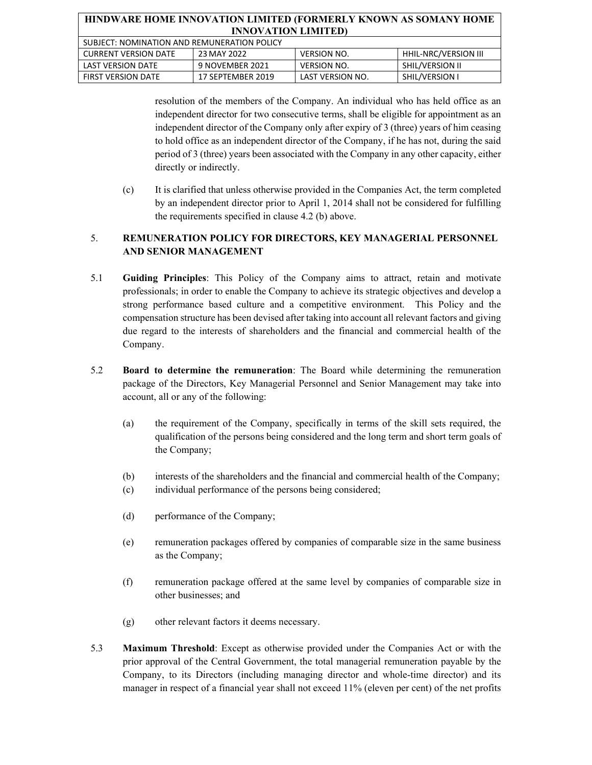| HINDWARE HOME INNOVATION LIMITED (FORMERLY KNOWN AS SOMANY HOME |                   |                    |                             |
|-----------------------------------------------------------------|-------------------|--------------------|-----------------------------|
| <b>INNOVATION LIMITED)</b>                                      |                   |                    |                             |
| SUBJECT: NOMINATION AND REMUNERATION POLICY                     |                   |                    |                             |
| <b>CURRENT VERSION DATE</b>                                     | 23 MAY 2022       | <b>VERSION NO.</b> | <b>HHIL-NRC/VERSION III</b> |
| <b>LAST VERSION DATE</b>                                        | 9 NOVEMBER 2021   | <b>VERSION NO.</b> | <b>SHIL/VERSION II</b>      |
| <b>FIRST VERSION DATE</b>                                       | 17 SEPTEMBER 2019 | LAST VERSION NO.   | SHIL/VERSION I              |

resolution of the members of the Company. An individual who has held office as an independent director for two consecutive terms, shall be eligible for appointment as an independent director of the Company only after expiry of 3 (three) years of him ceasing to hold office as an independent director of the Company, if he has not, during the said period of 3 (three) years been associated with the Company in any other capacity, either directly or indirectly.

(c) It is clarified that unless otherwise provided in the Companies Act, the term completed by an independent director prior to April 1, 2014 shall not be considered for fulfilling the requirements specified in clause 4.2 (b) above.

## 5. **REMUNERATION POLICY FOR DIRECTORS, KEY MANAGERIAL PERSONNEL AND SENIOR MANAGEMENT**

- 5.1 **Guiding Principles**: This Policy of the Company aims to attract, retain and motivate professionals; in order to enable the Company to achieve its strategic objectives and develop a strong performance based culture and a competitive environment. This Policy and the compensation structure has been devised after taking into account all relevant factors and giving due regard to the interests of shareholders and the financial and commercial health of the Company.
- 5.2 **Board to determine the remuneration**: The Board while determining the remuneration package of the Directors, Key Managerial Personnel and Senior Management may take into account, all or any of the following:
	- (a) the requirement of the Company, specifically in terms of the skill sets required, the qualification of the persons being considered and the long term and short term goals of the Company;
	- (b) interests of the shareholders and the financial and commercial health of the Company;
	- (c) individual performance of the persons being considered;
	- (d) performance of the Company;
	- (e) remuneration packages offered by companies of comparable size in the same business as the Company;
	- (f) remuneration package offered at the same level by companies of comparable size in other businesses; and
	- (g) other relevant factors it deems necessary.
- 5.3 **Maximum Threshold**: Except as otherwise provided under the Companies Act or with the prior approval of the Central Government, the total managerial remuneration payable by the Company, to its Directors (including managing director and whole-time director) and its manager in respect of a financial year shall not exceed 11% (eleven per cent) of the net profits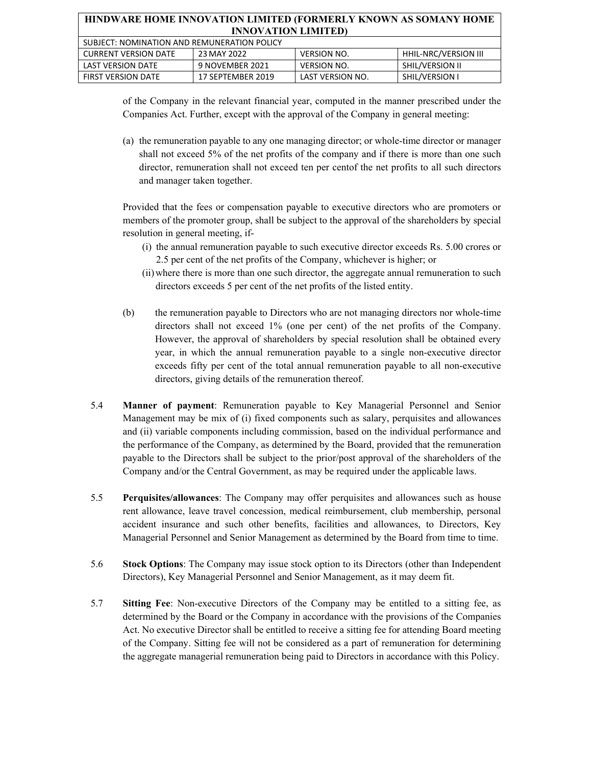| HINDWARE HOME INNOVATION LIMITED (FORMERLY KNOWN AS SOMANY HOME |                   |                    |                             |
|-----------------------------------------------------------------|-------------------|--------------------|-----------------------------|
| <b>INNOVATION LIMITED)</b>                                      |                   |                    |                             |
| SUBJECT: NOMINATION AND REMUNERATION POLICY                     |                   |                    |                             |
| <b>CURRENT VERSION DATE</b>                                     | 23 MAY 2022       | <b>VERSION NO.</b> | <b>HHIL-NRC/VERSION III</b> |
| <b>LAST VERSION DATE</b>                                        | 9 NOVEMBER 2021   | <b>VERSION NO.</b> | SHIL/VERSION II             |
| <b>FIRST VERSION DATE</b>                                       | 17 SEPTEMBER 2019 | LAST VERSION NO.   | <b>SHIL/VERSION I</b>       |

of the Company in the relevant financial year, computed in the manner prescribed under the Companies Act. Further, except with the approval of the Company in general meeting:

(a) the remuneration payable to any one managing director; or whole-time director or manager shall not exceed 5% of the net profits of the company and if there is more than one such director, remuneration shall not exceed ten per centof the net profits to all such directors and manager taken together.

Provided that the fees or compensation payable to executive directors who are promoters or members of the promoter group, shall be subject to the approval of the shareholders by special resolution in general meeting, if-

- (i) the annual remuneration payable to such executive director exceeds Rs. 5.00 crores or 2.5 per cent of the net profits of the Company, whichever is higher; or
- (ii) where there is more than one such director, the aggregate annual remuneration to such directors exceeds 5 per cent of the net profits of the listed entity.
- (b) the remuneration payable to Directors who are not managing directors nor whole-time directors shall not exceed 1% (one per cent) of the net profits of the Company. However, the approval of shareholders by special resolution shall be obtained every year, in which the annual remuneration payable to a single non-executive director exceeds fifty per cent of the total annual remuneration payable to all non-executive directors, giving details of the remuneration thereof.
- 5.4 **Manner of payment**: Remuneration payable to Key Managerial Personnel and Senior Management may be mix of (i) fixed components such as salary, perquisites and allowances and (ii) variable components including commission, based on the individual performance and the performance of the Company, as determined by the Board, provided that the remuneration payable to the Directors shall be subject to the prior/post approval of the shareholders of the Company and/or the Central Government, as may be required under the applicable laws.
- 5.5 **Perquisites/allowances**: The Company may offer perquisites and allowances such as house rent allowance, leave travel concession, medical reimbursement, club membership, personal accident insurance and such other benefits, facilities and allowances, to Directors, Key Managerial Personnel and Senior Management as determined by the Board from time to time.
- 5.6 **Stock Options**: The Company may issue stock option to its Directors (other than Independent Directors), Key Managerial Personnel and Senior Management, as it may deem fit.
- 5.7 **Sitting Fee**: Non-executive Directors of the Company may be entitled to a sitting fee, as determined by the Board or the Company in accordance with the provisions of the Companies Act. No executive Director shall be entitled to receive a sitting fee for attending Board meeting of the Company. Sitting fee will not be considered as a part of remuneration for determining the aggregate managerial remuneration being paid to Directors in accordance with this Policy.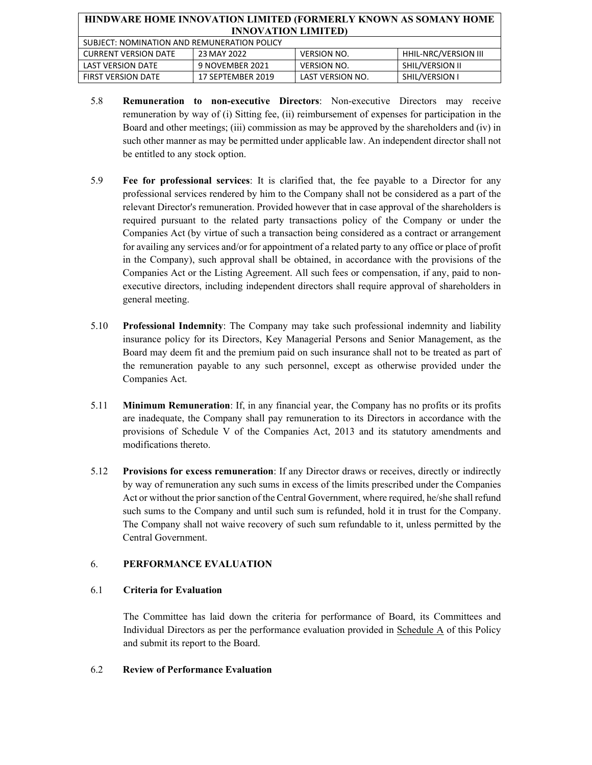| HINDWARE HOME INNOVATION LIMITED (FORMERLY KNOWN AS SOMANY HOME |                   |                    |                      |
|-----------------------------------------------------------------|-------------------|--------------------|----------------------|
| <b>INNOVATION LIMITED)</b>                                      |                   |                    |                      |
| SUBJECT: NOMINATION AND REMUNERATION POLICY                     |                   |                    |                      |
| <b>CURRENT VERSION DATE</b>                                     | 23 MAY 2022       | <b>VERSION NO.</b> | HHIL-NRC/VERSION III |
| LAST VERSION DATE                                               | 9 NOVEMBER 2021   | <b>VERSION NO.</b> | SHIL/VERSION II      |
| <b>FIRST VERSION DATE</b>                                       | 17 SEPTEMBER 2019 | LAST VERSION NO.   | SHIL/VERSION I       |

- 5.8 **Remuneration to non-executive Directors**: Non-executive Directors may receive remuneration by way of (i) Sitting fee, (ii) reimbursement of expenses for participation in the Board and other meetings; (iii) commission as may be approved by the shareholders and (iv) in such other manner as may be permitted under applicable law. An independent director shall not be entitled to any stock option.
- 5.9 **Fee for professional services**: It is clarified that, the fee payable to a Director for any professional services rendered by him to the Company shall not be considered as a part of the relevant Director's remuneration. Provided however that in case approval of the shareholders is required pursuant to the related party transactions policy of the Company or under the Companies Act (by virtue of such a transaction being considered as a contract or arrangement for availing any services and/or for appointment of a related party to any office or place of profit in the Company), such approval shall be obtained, in accordance with the provisions of the Companies Act or the Listing Agreement. All such fees or compensation, if any, paid to nonexecutive directors, including independent directors shall require approval of shareholders in general meeting.
- 5.10 **Professional Indemnity**: The Company may take such professional indemnity and liability insurance policy for its Directors, Key Managerial Persons and Senior Management, as the Board may deem fit and the premium paid on such insurance shall not to be treated as part of the remuneration payable to any such personnel, except as otherwise provided under the Companies Act.
- 5.11 **Minimum Remuneration**: If, in any financial year, the Company has no profits or its profits are inadequate, the Company shall pay remuneration to its Directors in accordance with the provisions of Schedule V of the Companies Act, 2013 and its statutory amendments and modifications thereto.
- 5.12 **Provisions for excess remuneration**: If any Director draws or receives, directly or indirectly by way of remuneration any such sums in excess of the limits prescribed under the Companies Act or without the prior sanction of the Central Government, where required, he/she shall refund such sums to the Company and until such sum is refunded, hold it in trust for the Company. The Company shall not waive recovery of such sum refundable to it, unless permitted by the Central Government.

## 6. **PERFORMANCE EVALUATION**

## 6.1 **Criteria for Evaluation**

The Committee has laid down the criteria for performance of Board, its Committees and Individual Directors as per the performance evaluation provided in Schedule A of this Policy and submit its report to the Board.

#### 6.2 **Review of Performance Evaluation**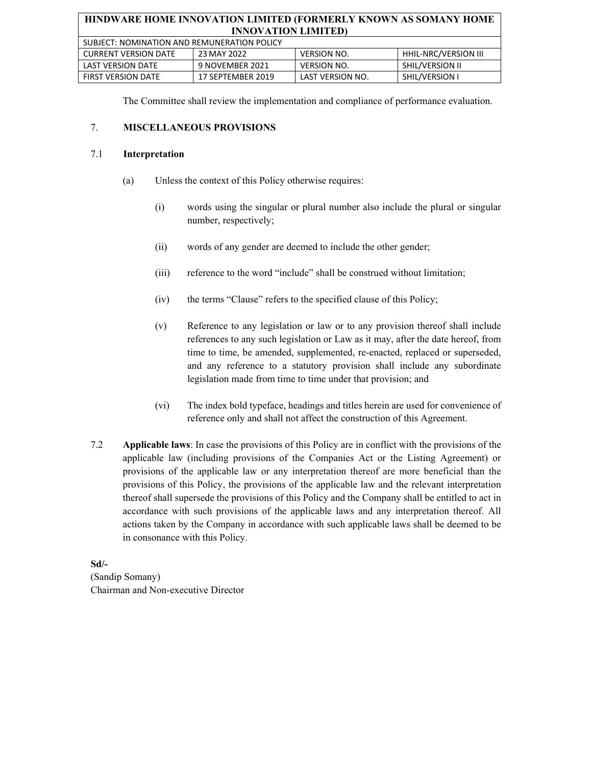| SUBJECT: NOMINATION AND REMUNERATION POLICY |                   |                    |                      |
|---------------------------------------------|-------------------|--------------------|----------------------|
| CURRENT VERSION DATE                        | 23 MAY 2022       | <b>VERSION NO.</b> | HHIL-NRC/VERSION III |
| LAST VERSION DATE                           | 9 NOVEMBER 2021   | VERSION NO.        | SHIL/VERSION II      |
| <b>FIRST VERSION DATE</b>                   | 17 SEPTEMBER 2019 | LAST VERSION NO.   | SHIL/VERSION I       |

The Committee shall review the implementation and compliance of performance evaluation.

## 7. **MISCELLANEOUS PROVISIONS**

#### 7.1 **Interpretation**

- (a) Unless the context of this Policy otherwise requires:
	- (i) words using the singular or plural number also include the plural or singular number, respectively;
	- (ii) words of any gender are deemed to include the other gender;
	- (iii) reference to the word "include" shall be construed without limitation;
	- (iv) the terms "Clause" refers to the specified clause of this Policy;
	- (v) Reference to any legislation or law or to any provision thereof shall include references to any such legislation or Law as it may, after the date hereof, from time to time, be amended, supplemented, re-enacted, replaced or superseded, and any reference to a statutory provision shall include any subordinate legislation made from time to time under that provision; and
	- (vi) The index bold typeface, headings and titles herein are used for convenience of reference only and shall not affect the construction of this Agreement.
- 7.2 **Applicable laws**: In case the provisions of this Policy are in conflict with the provisions of the applicable law (including provisions of the Companies Act or the Listing Agreement) or provisions of the applicable law or any interpretation thereof are more beneficial than the provisions of this Policy, the provisions of the applicable law and the relevant interpretation thereof shall supersede the provisions of this Policy and the Company shall be entitled to act in accordance with such provisions of the applicable laws and any interpretation thereof. All actions taken by the Company in accordance with such applicable laws shall be deemed to be in consonance with this Policy.

**Sd/-**  (Sandip Somany) Chairman and Non-executive Director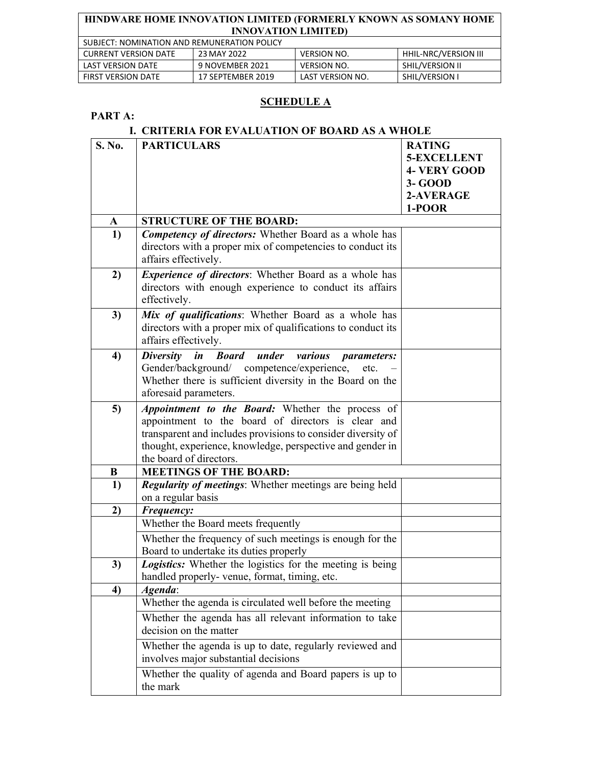| SUBJECT: NOMINATION AND REMUNERATION POLICY |                   |                    |                             |
|---------------------------------------------|-------------------|--------------------|-----------------------------|
| <b>CURRENT VERSION DATE</b>                 | 23 MAY 2022       | <b>VERSION NO.</b> | <b>HHIL-NRC/VERSION III</b> |
| LAST VERSION DATE                           | 9 NOVEMBER 2021   | <b>VERSION NO.</b> | SHIL/VERSION II             |
| <b>FIRST VERSION DATE</b>                   | 17 SEPTEMBER 2019 | LAST VERSION NO.   | SHIL/VERSION I              |

## **SCHEDULE A**

## **PART A:**

## **I. CRITERIA FOR EVALUATION OF BOARD AS A WHOLE**

| S. No. | <b>PARTICULARS</b>                                                                     | <b>RATING</b>       |
|--------|----------------------------------------------------------------------------------------|---------------------|
|        |                                                                                        | <b>5-EXCELLENT</b>  |
|        |                                                                                        | <b>4- VERY GOOD</b> |
|        |                                                                                        | 3- GOOD             |
|        |                                                                                        | 2-AVERAGE           |
|        |                                                                                        | 1-POOR              |
| A      | <b>STRUCTURE OF THE BOARD:</b>                                                         |                     |
| 1)     | <b>Competency of directors:</b> Whether Board as a whole has                           |                     |
|        | directors with a proper mix of competencies to conduct its                             |                     |
|        | affairs effectively.                                                                   |                     |
| 2)     | Experience of directors: Whether Board as a whole has                                  |                     |
|        | directors with enough experience to conduct its affairs                                |                     |
|        | effectively.                                                                           |                     |
| 3)     | Mix of qualifications: Whether Board as a whole has                                    |                     |
|        | directors with a proper mix of qualifications to conduct its                           |                     |
|        | affairs effectively.                                                                   |                     |
| 4)     | $\boldsymbol{i}$ n<br><b>Diversity</b><br><b>Board</b><br>under<br>various parameters: |                     |
|        | Gender/background/ competence/experience,<br>etc.                                      |                     |
|        | Whether there is sufficient diversity in the Board on the                              |                     |
|        | aforesaid parameters.                                                                  |                     |
| 5)     | Appointment to the Board: Whether the process of                                       |                     |
|        | appointment to the board of directors is clear and                                     |                     |
|        | transparent and includes provisions to consider diversity of                           |                     |
|        | thought, experience, knowledge, perspective and gender in                              |                     |
|        | the board of directors.                                                                |                     |
| B      | <b>MEETINGS OF THE BOARD:</b>                                                          |                     |
| 1)     | Regularity of meetings: Whether meetings are being held                                |                     |
|        | on a regular basis                                                                     |                     |
| 2)     | Frequency:                                                                             |                     |
|        | Whether the Board meets frequently                                                     |                     |
|        | Whether the frequency of such meetings is enough for the                               |                     |
|        | Board to undertake its duties properly                                                 |                     |
| 3)     | Logistics: Whether the logistics for the meeting is being                              |                     |
|        | handled properly- venue, format, timing, etc.                                          |                     |
| 4)     | Agenda:                                                                                |                     |
|        | Whether the agenda is circulated well before the meeting                               |                     |
|        | Whether the agenda has all relevant information to take                                |                     |
|        | decision on the matter                                                                 |                     |
|        | Whether the agenda is up to date, regularly reviewed and                               |                     |
|        | involves major substantial decisions                                                   |                     |
|        | Whether the quality of agenda and Board papers is up to                                |                     |
|        | the mark                                                                               |                     |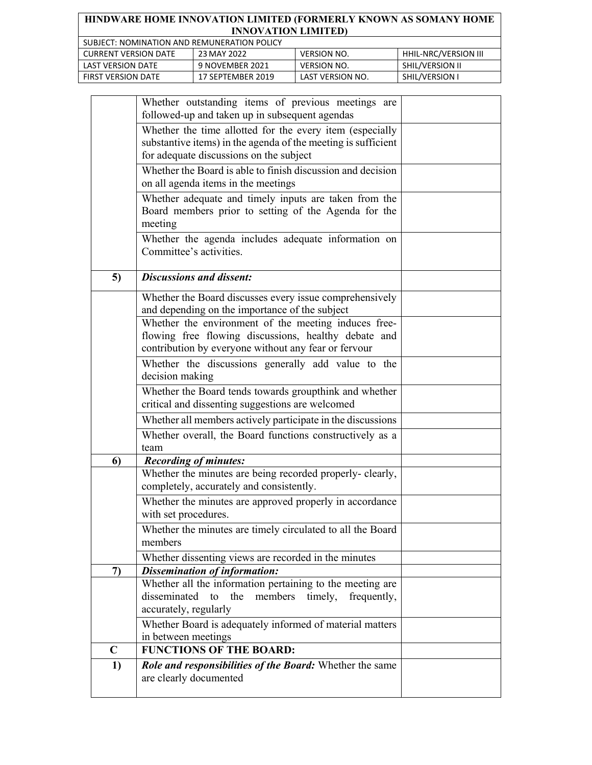| HINDWARE HOME INNOVATION LIMITED (FORMERLY KNOWN AS SOMANY HOME                   |  |  |  |  |  |
|-----------------------------------------------------------------------------------|--|--|--|--|--|
| <b>INNOVATION LIMITED)</b>                                                        |  |  |  |  |  |
| SUBJECT: NOMINATION AND REMUNERATION POLICY                                       |  |  |  |  |  |
| HHIL-NRC/VERSION III<br>23 MAY 2022<br><b>VERSION NO.</b><br>CURRENT VERSION DATE |  |  |  |  |  |

LAST VERSION DATE 9 NOVEMBER 2021 VERSION NO. SHIL/VERSION II FIRST VERSION DATE | 17 SEPTEMBER 2019 | LAST VERSION NO. | SHIL/VERSION I

|             | Whether outstanding items of previous meetings are                                                                                                                   |  |
|-------------|----------------------------------------------------------------------------------------------------------------------------------------------------------------------|--|
|             | followed-up and taken up in subsequent agendas                                                                                                                       |  |
|             | Whether the time allotted for the every item (especially<br>substantive items) in the agenda of the meeting is sufficient<br>for adequate discussions on the subject |  |
|             | Whether the Board is able to finish discussion and decision<br>on all agenda items in the meetings                                                                   |  |
|             | Whether adequate and timely inputs are taken from the<br>Board members prior to setting of the Agenda for the<br>meeting                                             |  |
|             | Whether the agenda includes adequate information on<br>Committee's activities.                                                                                       |  |
| 5)          | <b>Discussions and dissent:</b>                                                                                                                                      |  |
|             | Whether the Board discusses every issue comprehensively<br>and depending on the importance of the subject                                                            |  |
|             | Whether the environment of the meeting induces free-<br>flowing free flowing discussions, healthy debate and<br>contribution by everyone without any fear or fervour |  |
|             | Whether the discussions generally add value to the<br>decision making                                                                                                |  |
|             | Whether the Board tends towards groupthink and whether<br>critical and dissenting suggestions are welcomed                                                           |  |
|             | Whether all members actively participate in the discussions                                                                                                          |  |
|             | Whether overall, the Board functions constructively as a                                                                                                             |  |
| 6)          | team<br><b>Recording of minutes:</b>                                                                                                                                 |  |
|             | Whether the minutes are being recorded properly- clearly,<br>completely, accurately and consistently.                                                                |  |
|             | Whether the minutes are approved properly in accordance<br>with set procedures.                                                                                      |  |
|             | Whether the minutes are timely circulated to all the Board<br>members                                                                                                |  |
|             | Whether dissenting views are recorded in the minutes                                                                                                                 |  |
| 7)          | <b>Dissemination of information:</b><br>Whether all the information pertaining to the meeting are                                                                    |  |
|             | disseminated<br>the<br>members<br>to<br>timely,<br>frequently,<br>accurately, regularly                                                                              |  |
|             | Whether Board is adequately informed of material matters<br>in between meetings                                                                                      |  |
| $\mathbf C$ | <b>FUNCTIONS OF THE BOARD:</b>                                                                                                                                       |  |
| 1)          | Role and responsibilities of the Board: Whether the same<br>are clearly documented                                                                                   |  |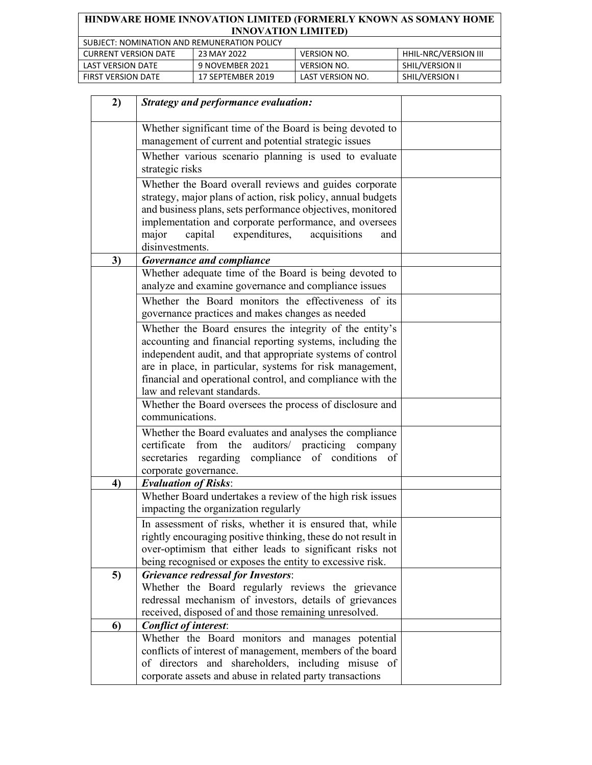| SUBJECT: NOMINATION AND REMUNERATION POLICY |                   |                    |                       |  |  |
|---------------------------------------------|-------------------|--------------------|-----------------------|--|--|
| <b>CURRENT VERSION DATE</b>                 | 23 MAY 2022       | <b>VERSION NO.</b> | HHIL-NRC/VERSION III  |  |  |
| LAST VERSION DATE                           | 9 NOVEMBER 2021   | <b>VERSION NO.</b> | SHIL/VERSION II       |  |  |
| <b>FIRST VERSION DATE</b>                   | 17 SEPTEMBER 2019 | LAST VERSION NO.   | <b>SHIL/VERSION I</b> |  |  |

| 2) | <b>Strategy and performance evaluation:</b>                                                                                                                                                                                                                                                                                                  |  |
|----|----------------------------------------------------------------------------------------------------------------------------------------------------------------------------------------------------------------------------------------------------------------------------------------------------------------------------------------------|--|
|    | Whether significant time of the Board is being devoted to<br>management of current and potential strategic issues                                                                                                                                                                                                                            |  |
|    | Whether various scenario planning is used to evaluate<br>strategic risks                                                                                                                                                                                                                                                                     |  |
|    | Whether the Board overall reviews and guides corporate<br>strategy, major plans of action, risk policy, annual budgets<br>and business plans, sets performance objectives, monitored<br>implementation and corporate performance, and oversees<br>expenditures,<br>major<br>acquisitions<br>capital<br>and<br>disinvestments.                |  |
| 3) | <b>Governance and compliance</b>                                                                                                                                                                                                                                                                                                             |  |
|    | Whether adequate time of the Board is being devoted to<br>analyze and examine governance and compliance issues                                                                                                                                                                                                                               |  |
|    | Whether the Board monitors the effectiveness of its<br>governance practices and makes changes as needed                                                                                                                                                                                                                                      |  |
|    | Whether the Board ensures the integrity of the entity's<br>accounting and financial reporting systems, including the<br>independent audit, and that appropriate systems of control<br>are in place, in particular, systems for risk management,<br>financial and operational control, and compliance with the<br>law and relevant standards. |  |
|    | Whether the Board oversees the process of disclosure and<br>communications.                                                                                                                                                                                                                                                                  |  |
|    | Whether the Board evaluates and analyses the compliance<br>auditors/ practicing company<br>certificate<br>from<br>the<br>secretaries regarding compliance of conditions of<br>corporate governance.                                                                                                                                          |  |
| 4) | <b>Evaluation of Risks:</b>                                                                                                                                                                                                                                                                                                                  |  |
|    | Whether Board undertakes a review of the high risk issues<br>impacting the organization regularly                                                                                                                                                                                                                                            |  |
|    | In assessment of risks, whether it is ensured that, while<br>rightly encouraging positive thinking, these do not result in<br>over-optimism that either leads to significant risks not<br>being recognised or exposes the entity to excessive risk.                                                                                          |  |
| 5) | <b>Grievance redressal for Investors:</b><br>Whether the Board regularly reviews the grievance<br>redressal mechanism of investors, details of grievances<br>received, disposed of and those remaining unresolved.                                                                                                                           |  |
| 6) | <b>Conflict of interest:</b>                                                                                                                                                                                                                                                                                                                 |  |
|    | Whether the Board monitors and manages potential<br>conflicts of interest of management, members of the board<br>of directors and shareholders, including misuse of<br>corporate assets and abuse in related party transactions                                                                                                              |  |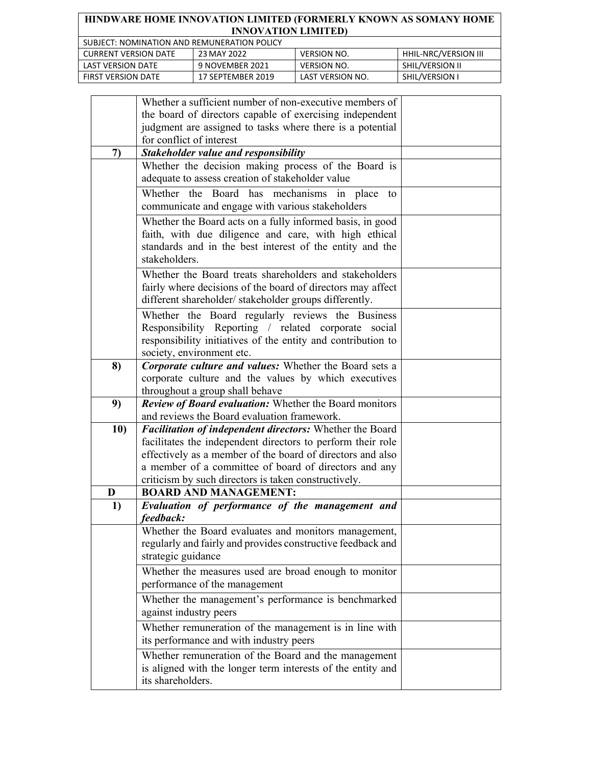| HINDWARE HOME INNOVATION LIMITED (FORMERLY KNOWN AS SOMANY HOME |
|-----------------------------------------------------------------|
| <b>INNOVATION LIMITED)</b>                                      |
| SUBJECT: NOMINATION AND REMUNERATION POLICY                     |

| <b>OUDILCT: INVINIINATION AND INLIVIONEMATION FOLICE</b> |                   |                    |                        |  |
|----------------------------------------------------------|-------------------|--------------------|------------------------|--|
| <b>CURRENT VERSION DATE</b>                              | 23 MAY 2022       | <b>VERSION NO.</b> | HHIL-NRC/VERSION III   |  |
| LAST VERSION DATE                                        | 9 NOVEMBER 2021   | VERSION NO.        | <b>SHIL/VERSION II</b> |  |
| <b>FIRST VERSION DATE</b>                                | 17 SEPTEMBER 2019 | LAST VERSION NO.   | <b>SHIL/VERSION</b>    |  |

|     | Whether a sufficient number of non-executive members of       |  |
|-----|---------------------------------------------------------------|--|
|     | the board of directors capable of exercising independent      |  |
|     | judgment are assigned to tasks where there is a potential     |  |
|     | for conflict of interest                                      |  |
| 7)  | Stakeholder value and responsibility                          |  |
|     | Whether the decision making process of the Board is           |  |
|     | adequate to assess creation of stakeholder value              |  |
|     | Whether the Board has mechanisms in place<br>to               |  |
|     | communicate and engage with various stakeholders              |  |
|     | Whether the Board acts on a fully informed basis, in good     |  |
|     | faith, with due diligence and care, with high ethical         |  |
|     | standards and in the best interest of the entity and the      |  |
|     | stakeholders.                                                 |  |
|     | Whether the Board treats shareholders and stakeholders        |  |
|     | fairly where decisions of the board of directors may affect   |  |
|     | different shareholder/ stakeholder groups differently.        |  |
|     | Whether the Board regularly reviews the Business              |  |
|     | Responsibility Reporting / related corporate social           |  |
|     | responsibility initiatives of the entity and contribution to  |  |
|     | society, environment etc.                                     |  |
| 8)  | Corporate culture and values: Whether the Board sets a        |  |
|     | corporate culture and the values by which executives          |  |
|     | throughout a group shall behave                               |  |
| 9)  | <b>Review of Board evaluation:</b> Whether the Board monitors |  |
|     | and reviews the Board evaluation framework.                   |  |
| 10) | Facilitation of independent directors: Whether the Board      |  |
|     | facilitates the independent directors to perform their role   |  |
|     | effectively as a member of the board of directors and also    |  |
|     | a member of a committee of board of directors and any         |  |
|     | criticism by such directors is taken constructively.          |  |
| D   | <b>BOARD AND MANAGEMENT:</b>                                  |  |
| 1)  | Evaluation of performance of the management and               |  |
|     | feedback:                                                     |  |
|     | Whether the Board evaluates and monitors management,          |  |
|     | regularly and fairly and provides constructive feedback and   |  |
|     | strategic guidance                                            |  |
|     | Whether the measures used are broad enough to monitor         |  |
|     | performance of the management                                 |  |
|     | Whether the management's performance is benchmarked           |  |
|     | against industry peers                                        |  |
|     | Whether remuneration of the management is in line with        |  |
|     | its performance and with industry peers                       |  |
|     | Whether remuneration of the Board and the management          |  |
|     | is aligned with the longer term interests of the entity and   |  |
|     | its shareholders.                                             |  |
|     |                                                               |  |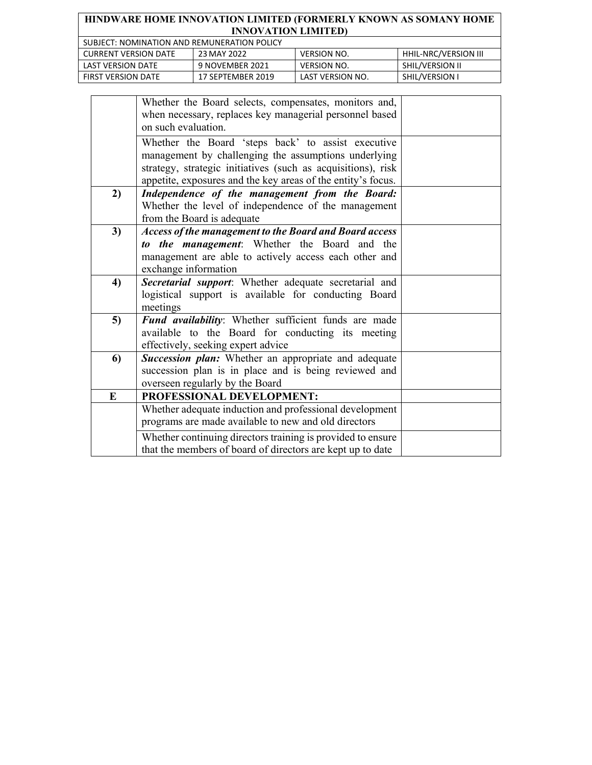| <b>HINDWARE HOME INNOVATION LIMITED (FORMERLY KNOWN AS SOMANY HOME</b><br><b>INNOVATION LIMITED)</b> |                                             |                    |                             |  |
|------------------------------------------------------------------------------------------------------|---------------------------------------------|--------------------|-----------------------------|--|
|                                                                                                      | SUBJECT: NOMINATION AND REMUNERATION POLICY |                    |                             |  |
| <b>CURRENT VERSION DATE</b>                                                                          | 23 MAY 2022                                 | <b>VERSION NO.</b> | <b>HHIL-NRC/VERSION III</b> |  |
| <b>LAST VERSION DATE</b>                                                                             | 9 NOVEMBER 2021                             | <b>VERSION NO.</b> | SHIL/VERSION II             |  |
| <b>FIRST VERSION DATE</b>                                                                            | 17 SEPTEMBER 2019                           | LAST VERSION NO.   | SHIL/VERSION I              |  |

|    | Whether the Board selects, compensates, monitors and,<br>when necessary, replaces key managerial personnel based<br>on such evaluation.                                                                                                    |  |
|----|--------------------------------------------------------------------------------------------------------------------------------------------------------------------------------------------------------------------------------------------|--|
|    | Whether the Board 'steps back' to assist executive<br>management by challenging the assumptions underlying<br>strategy, strategic initiatives (such as acquisitions), risk<br>appetite, exposures and the key areas of the entity's focus. |  |
| 2) | Independence of the management from the Board:<br>Whether the level of independence of the management<br>from the Board is adequate                                                                                                        |  |
| 3) | <b>Access of the management to the Board and Board access</b><br>to the management: Whether the Board and the<br>management are able to actively access each other and<br>exchange information                                             |  |
| 4) | Secretarial support: Whether adequate secretarial and<br>logistical support is available for conducting Board<br>meetings                                                                                                                  |  |
| 5) | Fund availability: Whether sufficient funds are made<br>available to the Board for conducting its meeting<br>effectively, seeking expert advice                                                                                            |  |
| 6) | Succession plan: Whether an appropriate and adequate<br>succession plan is in place and is being reviewed and<br>overseen regularly by the Board                                                                                           |  |
| E  | PROFESSIONAL DEVELOPMENT:                                                                                                                                                                                                                  |  |
|    | Whether adequate induction and professional development<br>programs are made available to new and old directors                                                                                                                            |  |
|    | Whether continuing directors training is provided to ensure<br>that the members of board of directors are kept up to date                                                                                                                  |  |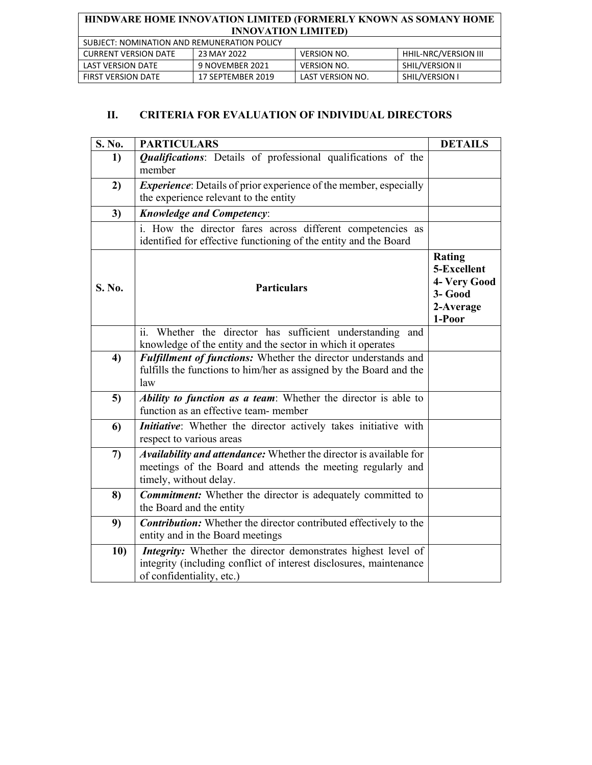| SUBJECT: NOMINATION AND REMUNERATION POLICY |                   |                    |                        |  |
|---------------------------------------------|-------------------|--------------------|------------------------|--|
| <b>CURRENT VERSION DATE</b>                 | 23 MAY 2022       | <b>VERSION NO.</b> | HHIL-NRC/VERSION III   |  |
| LAST VERSION DATE                           | 9 NOVEMBER 2021   | VERSION NO.        | <b>SHIL/VERSION II</b> |  |
| <b>FIRST VERSION DATE</b>                   | 17 SEPTEMBER 2019 | LAST VERSION NO.   | <b>SHIL/VERSION I</b>  |  |

# **II. CRITERIA FOR EVALUATION OF INDIVIDUAL DIRECTORS**

| S. No. | <b>PARTICULARS</b>                                                                                                                                               | <b>DETAILS</b>                                                          |
|--------|------------------------------------------------------------------------------------------------------------------------------------------------------------------|-------------------------------------------------------------------------|
| 1)     | Qualifications: Details of professional qualifications of the<br>member                                                                                          |                                                                         |
| 2)     | <i>Experience</i> : Details of prior experience of the member, especially<br>the experience relevant to the entity                                               |                                                                         |
| 3)     | <b>Knowledge and Competency:</b>                                                                                                                                 |                                                                         |
|        | i. How the director fares across different competencies as<br>identified for effective functioning of the entity and the Board                                   |                                                                         |
| S. No. | <b>Particulars</b>                                                                                                                                               | Rating<br>5-Excellent<br>4- Very Good<br>3- Good<br>2-Average<br>1-Poor |
|        | Whether the director has sufficient understanding<br>and<br>$\overline{11}$ .<br>knowledge of the entity and the sector in which it operates                     |                                                                         |
| 4)     | Fulfillment of functions: Whether the director understands and<br>fulfills the functions to him/her as assigned by the Board and the<br>law                      |                                                                         |
| 5)     | Ability to function as a team: Whether the director is able to<br>function as an effective team-member                                                           |                                                                         |
| 6      | Initiative: Whether the director actively takes initiative with<br>respect to various areas                                                                      |                                                                         |
| 7)     | Availability and attendance: Whether the director is available for<br>meetings of the Board and attends the meeting regularly and<br>timely, without delay.      |                                                                         |
| 8)     | <b>Commitment:</b> Whether the director is adequately committed to<br>the Board and the entity                                                                   |                                                                         |
| 9)     | <b>Contribution:</b> Whether the director contributed effectively to the<br>entity and in the Board meetings                                                     |                                                                         |
| 10)    | Integrity: Whether the director demonstrates highest level of<br>integrity (including conflict of interest disclosures, maintenance<br>of confidentiality, etc.) |                                                                         |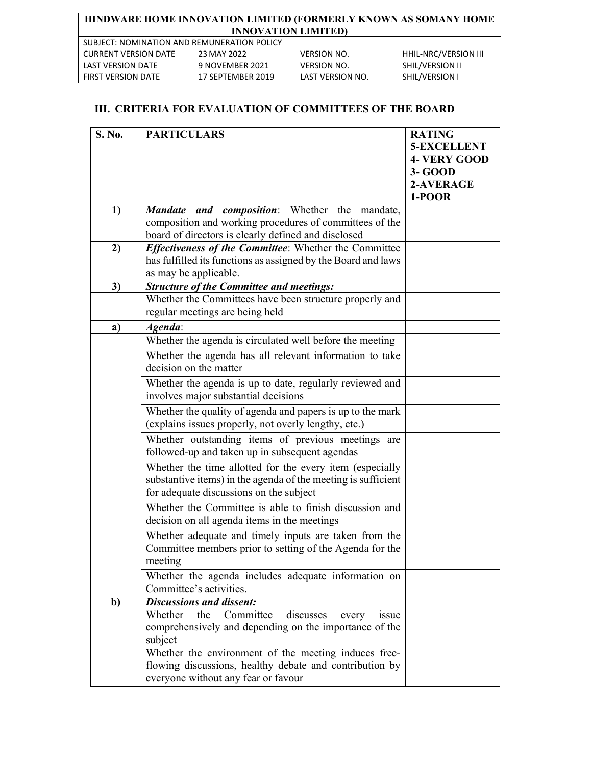| SUBJECT: NOMINATION AND REMUNERATION POLICY |                   |                    |                      |  |
|---------------------------------------------|-------------------|--------------------|----------------------|--|
| CURRENT VERSION DATE                        | 23 MAY 2022       | <b>VERSION NO.</b> | HHIL-NRC/VERSION III |  |
| LAST VERSION DATE                           | 9 NOVEMBER 2021   | VERSION NO.        | SHIL/VERSION II      |  |
| FIRST VERSION DATE                          | 17 SEPTEMBER 2019 | LAST VERSION NO.   | SHIL/VERSION I       |  |

## **III. CRITERIA FOR EVALUATION OF COMMITTEES OF THE BOARD**

| S. No. | <b>PARTICULARS</b>                                                                                                            | <b>RATING</b>       |
|--------|-------------------------------------------------------------------------------------------------------------------------------|---------------------|
|        |                                                                                                                               | 5-EXCELLENT         |
|        |                                                                                                                               | <b>4- VERY GOOD</b> |
|        |                                                                                                                               | 3- GOOD             |
|        |                                                                                                                               | 2-AVERAGE           |
|        |                                                                                                                               | 1-POOR              |
| 1)     | Mandate and composition: Whether the mandate,                                                                                 |                     |
|        | composition and working procedures of committees of the                                                                       |                     |
|        | board of directors is clearly defined and disclosed                                                                           |                     |
| 2)     | <b>Effectiveness of the Committee:</b> Whether the Committee<br>has fulfilled its functions as assigned by the Board and laws |                     |
|        | as may be applicable.                                                                                                         |                     |
| 3)     | <b>Structure of the Committee and meetings:</b>                                                                               |                     |
|        | Whether the Committees have been structure properly and                                                                       |                     |
|        | regular meetings are being held                                                                                               |                     |
|        | Agenda:                                                                                                                       |                     |
| a)     | Whether the agenda is circulated well before the meeting                                                                      |                     |
|        | Whether the agenda has all relevant information to take                                                                       |                     |
|        | decision on the matter                                                                                                        |                     |
|        |                                                                                                                               |                     |
|        | Whether the agenda is up to date, regularly reviewed and<br>involves major substantial decisions                              |                     |
|        |                                                                                                                               |                     |
|        | Whether the quality of agenda and papers is up to the mark<br>(explains issues properly, not overly lengthy, etc.)            |                     |
|        | Whether outstanding items of previous meetings are                                                                            |                     |
|        | followed-up and taken up in subsequent agendas                                                                                |                     |
|        | Whether the time allotted for the every item (especially                                                                      |                     |
|        | substantive items) in the agenda of the meeting is sufficient                                                                 |                     |
|        | for adequate discussions on the subject                                                                                       |                     |
|        | Whether the Committee is able to finish discussion and                                                                        |                     |
|        | decision on all agenda items in the meetings                                                                                  |                     |
|        | Whether adequate and timely inputs are taken from the                                                                         |                     |
|        | Committee members prior to setting of the Agenda for the                                                                      |                     |
|        | meeting                                                                                                                       |                     |
|        | Whether the agenda includes adequate information on                                                                           |                     |
|        | Committee's activities.                                                                                                       |                     |
| b)     | <b>Discussions and dissent:</b><br>Whether<br>Committee<br>discusses<br>the<br>every<br>issue                                 |                     |
|        | comprehensively and depending on the importance of the                                                                        |                     |
|        | subject                                                                                                                       |                     |
|        | Whether the environment of the meeting induces free-                                                                          |                     |
|        | flowing discussions, healthy debate and contribution by                                                                       |                     |
|        | everyone without any fear or favour                                                                                           |                     |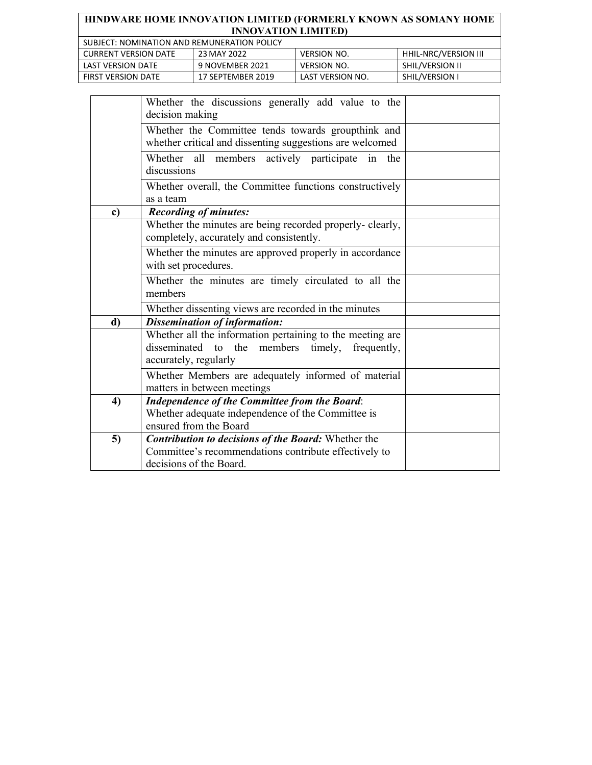| HINDWARE HOME INNOVATION LIMITED (FORMERLY KNOWN AS SOMANY HOME<br><b>INNOVATION LIMITED)</b> |                   |                    |                      |  |
|-----------------------------------------------------------------------------------------------|-------------------|--------------------|----------------------|--|
| SUBJECT: NOMINATION AND REMUNERATION POLICY                                                   |                   |                    |                      |  |
| <b>CURRENT VERSION DATE</b>                                                                   | 23 MAY 2022       | <b>VERSION NO.</b> | HHIL-NRC/VERSION III |  |
| <b>LAST VERSION DATE</b>                                                                      | 9 NOVEMBER 2021   | <b>VERSION NO.</b> | SHIL/VERSION II      |  |
| <b>FIRST VERSION DATE</b>                                                                     | 17 SEPTEMBER 2019 | LAST VERSION NO.   | SHIL/VERSION I       |  |

|    | Whether the discussions generally add value to the<br>decision making                                                                          |  |
|----|------------------------------------------------------------------------------------------------------------------------------------------------|--|
|    | Whether the Committee tends towards groupthink and<br>whether critical and dissenting suggestions are welcomed                                 |  |
|    | Whether all members actively participate in<br>the<br>discussions                                                                              |  |
|    | Whether overall, the Committee functions constructively<br>as a team                                                                           |  |
| c) | <b>Recording of minutes:</b>                                                                                                                   |  |
|    | Whether the minutes are being recorded properly- clearly,<br>completely, accurately and consistently.                                          |  |
|    | Whether the minutes are approved properly in accordance<br>with set procedures.                                                                |  |
|    | Whether the minutes are timely circulated to all the<br>members                                                                                |  |
|    | Whether dissenting views are recorded in the minutes                                                                                           |  |
| d) | <b>Dissemination of information:</b>                                                                                                           |  |
|    | Whether all the information pertaining to the meeting are<br>disseminated to the members timely, frequently,<br>accurately, regularly          |  |
|    | Whether Members are adequately informed of material<br>matters in between meetings                                                             |  |
| 4) | <b>Independence of the Committee from the Board:</b><br>Whether adequate independence of the Committee is<br>ensured from the Board            |  |
| 5) | <b>Contribution to decisions of the Board: Whether the</b><br>Committee's recommendations contribute effectively to<br>decisions of the Board. |  |